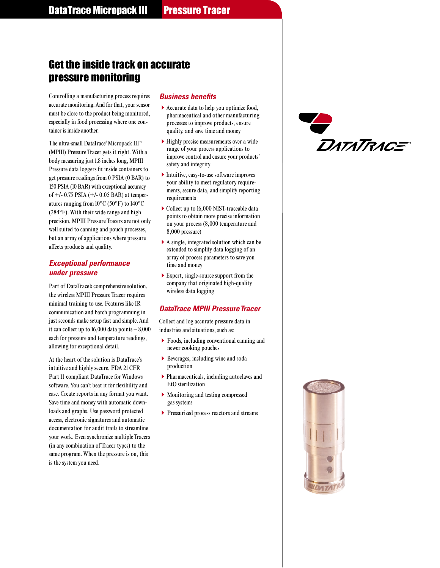# Get the inside track on accurate pressure monitoring

Controlling a manufacturing process requires accurate monitoring. And for that, your sensor must be close to the product being monitored, especially in food processing where one container is inside another.

The ultra-small DataTrace® Micropack III ™ (MPIII) Pressure Tracer gets it right. With a body measuring just 1.8 inches long, MPIII Pressure data loggers fit inside containers to get pressure readings from 0 PSIA (0 BAR) to 150 PSIA (10 BAR) with exceptional accuracy of +/- 0.75 PSIA (+/- 0.05 BAR) at temperatures ranging from 10°C (50°F) to 140°C (284°F). With their wide range and high precision, MPIII Pressure Tracers are not only well suited to canning and pouch processes, but an array of applications where pressure affects products and quality.

# *Exceptional performance under pressure*

Part of DataTrace's comprehensive solution, the wireless MPIII Pressure Tracer requires minimal training to use. Features like IR communication and batch programming in just seconds make setup fast and simple. And it can collect up to  $16,000$  data points  $-8,000$ each for pressure and temperature readings, allowing for exceptional detail.

At the heart of the solution is DataTrace's intuitive and highly secure, FDA 21 CFR Part 11 compliant DataTrace for Windows software. You can't beat it for flexibility and ease. Create reports in any format you want. Save time and money with automatic downloads and graphs. Use password protected access, electronic signatures and automatic documentation for audit trails to streamline your work. Even synchronize multiple Tracers (in any combination of Tracer types) to the same program. When the pressure is on, this is the system you need.

## *Business benefits*

- -Accurate data to help you optimize food, pharmaceutical and other manufacturing processes to improve products, ensure quality, and save time and money
- -Highly precise measurements over a wide range of your process applications to improve control and ensure your products' safety and integrity
- -Intuitive, easy-to-use software improves your ability to meet regulatory requirements, secure data, and simplify reporting requirements
- ▶ Collect up to 16,000 NIST-traceable data points to obtain more precise information on your process (8,000 temperature and 8,000 pressure)
- -A single, integrated solution which can be extended to simplify data logging of an array of process parameters to save you time and money
- -Expert, single-source support from the company that originated high-quality wireless data logging

# **DataTrace MPIII Pressure Tracer**

Collect and log accurate pressure data in industries and situations, such as:

- -Foods, including conventional canning and newer cooking pouches
- -Beverages, including wine and soda production
- -Pharmaceuticals, including autoclaves and EtO sterilization
- -Monitoring and testing compressed gas systems
- -Pressurized process reactors and streams